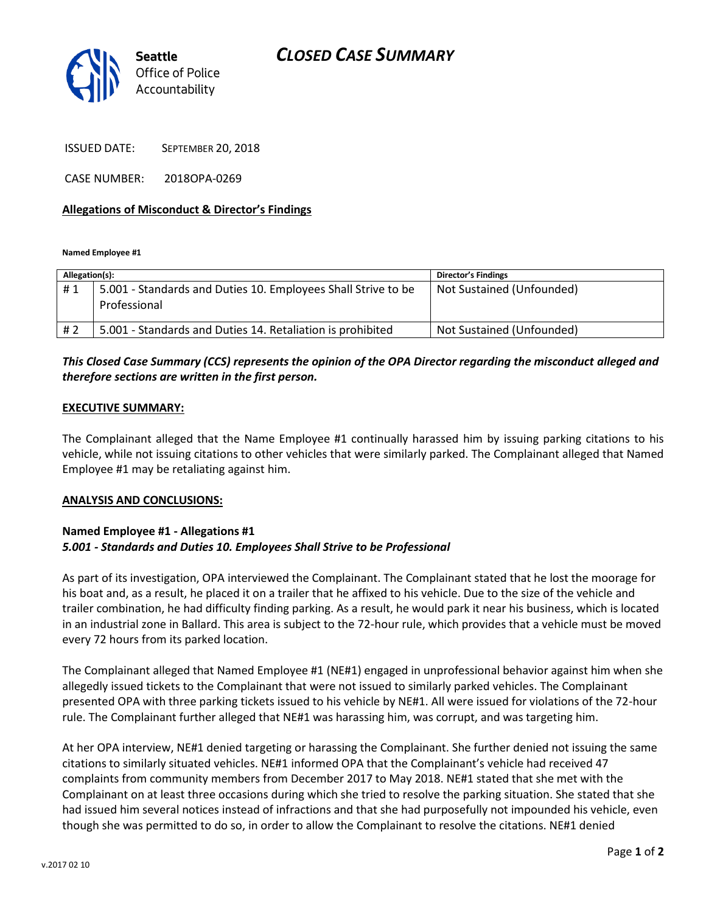# *CLOSED CASE SUMMARY*



ISSUED DATE: SEPTEMBER 20, 2018

CASE NUMBER: 2018OPA-0269

### **Allegations of Misconduct & Director's Findings**

**Named Employee #1**

| Allegation(s): |                                                                               | <b>Director's Findings</b> |
|----------------|-------------------------------------------------------------------------------|----------------------------|
| #1             | 5.001 - Standards and Duties 10. Employees Shall Strive to be<br>Professional | Not Sustained (Unfounded)  |
| # 2            | 5.001 - Standards and Duties 14. Retaliation is prohibited                    | Not Sustained (Unfounded)  |

## *This Closed Case Summary (CCS) represents the opinion of the OPA Director regarding the misconduct alleged and therefore sections are written in the first person.*

#### **EXECUTIVE SUMMARY:**

The Complainant alleged that the Name Employee #1 continually harassed him by issuing parking citations to his vehicle, while not issuing citations to other vehicles that were similarly parked. The Complainant alleged that Named Employee #1 may be retaliating against him.

#### **ANALYSIS AND CONCLUSIONS:**

## **Named Employee #1 - Allegations #1** *5.001 - Standards and Duties 10. Employees Shall Strive to be Professional*

As part of its investigation, OPA interviewed the Complainant. The Complainant stated that he lost the moorage for his boat and, as a result, he placed it on a trailer that he affixed to his vehicle. Due to the size of the vehicle and trailer combination, he had difficulty finding parking. As a result, he would park it near his business, which is located in an industrial zone in Ballard. This area is subject to the 72-hour rule, which provides that a vehicle must be moved every 72 hours from its parked location.

The Complainant alleged that Named Employee #1 (NE#1) engaged in unprofessional behavior against him when she allegedly issued tickets to the Complainant that were not issued to similarly parked vehicles. The Complainant presented OPA with three parking tickets issued to his vehicle by NE#1. All were issued for violations of the 72-hour rule. The Complainant further alleged that NE#1 was harassing him, was corrupt, and was targeting him.

At her OPA interview, NE#1 denied targeting or harassing the Complainant. She further denied not issuing the same citations to similarly situated vehicles. NE#1 informed OPA that the Complainant's vehicle had received 47 complaints from community members from December 2017 to May 2018. NE#1 stated that she met with the Complainant on at least three occasions during which she tried to resolve the parking situation. She stated that she had issued him several notices instead of infractions and that she had purposefully not impounded his vehicle, even though she was permitted to do so, in order to allow the Complainant to resolve the citations. NE#1 denied